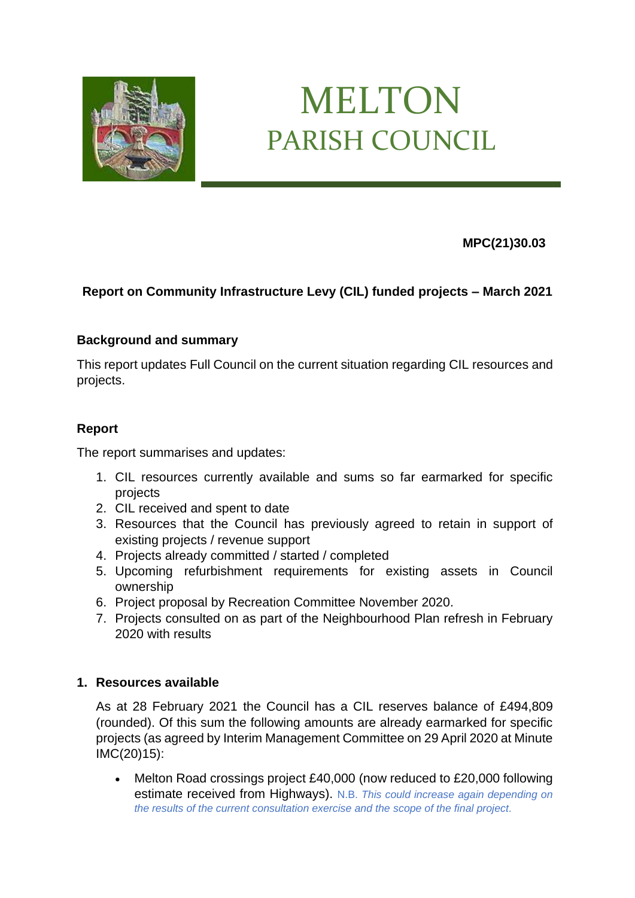

# MELTON PARISH COUNCIL

 **MPC(21)30.03**

## **Report on Community Infrastructure Levy (CIL) funded projects – March 2021**

## **Background and summary**

This report updates Full Council on the current situation regarding CIL resources and projects.

## **Report**

The report summarises and updates:

- 1. CIL resources currently available and sums so far earmarked for specific projects
- 2. CIL received and spent to date
- 3. Resources that the Council has previously agreed to retain in support of existing projects / revenue support
- 4. Projects already committed / started / completed
- 5. Upcoming refurbishment requirements for existing assets in Council ownership
- 6. Project proposal by Recreation Committee November 2020.
- 7. Projects consulted on as part of the Neighbourhood Plan refresh in February 2020 with results

## **1. Resources available**

As at 28 February 2021 the Council has a CIL reserves balance of £494,809 (rounded). Of this sum the following amounts are already earmarked for specific projects (as agreed by Interim Management Committee on 29 April 2020 at Minute IMC(20)15):

Melton Road crossings project £40,000 (now reduced to £20,000 following estimate received from Highways). N.B. *This could increase again depending on the results of the current consultation exercise and the scope of the final project.*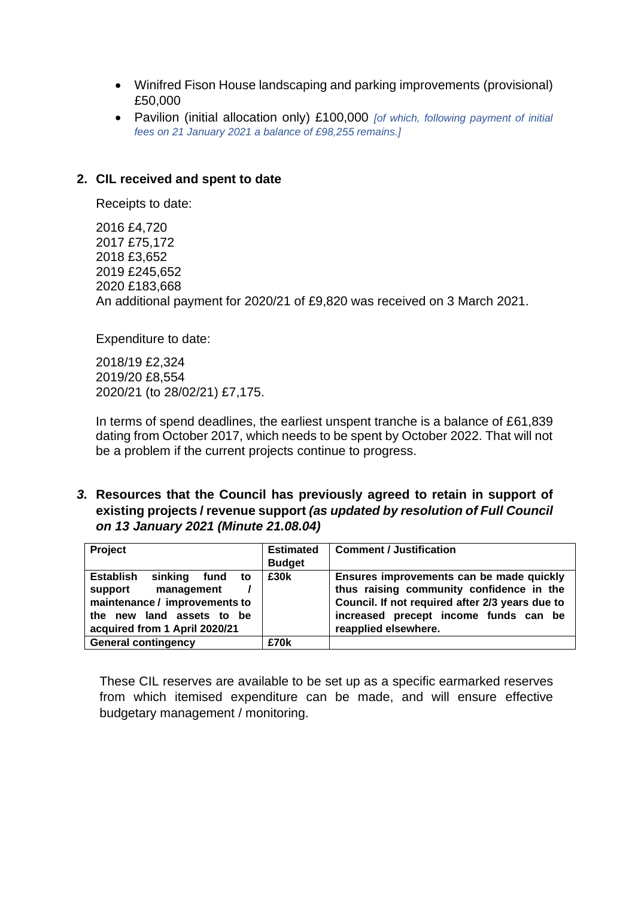- Winifred Fison House landscaping and parking improvements (provisional) £50,000
- Pavilion (initial allocation only) £100,000 *[of which, following payment of initial fees on 21 January 2021 a balance of £98,255 remains.]*

## **2. CIL received and spent to date**

Receipts to date:

2016 £4,720 2017 £75,172 2018 £3,652 2019 £245,652 2020 £183,668 An additional payment for 2020/21 of £9,820 was received on 3 March 2021.

Expenditure to date:

2018/19 £2,324 2019/20 £8,554 2020/21 (to 28/02/21) £7,175.

In terms of spend deadlines, the earliest unspent tranche is a balance of £61,839 dating from October 2017, which needs to be spent by October 2022. That will not be a problem if the current projects continue to progress.

*3.* **Resources that the Council has previously agreed to retain in support of existing projects / revenue support** *(as updated by resolution of Full Council on 13 January 2021 (Minute 21.08.04)*

| <b>Project</b>                                                                                                                   | <b>Estimated</b> | <b>Comment / Justification</b>                                                                                                                                                   |
|----------------------------------------------------------------------------------------------------------------------------------|------------------|----------------------------------------------------------------------------------------------------------------------------------------------------------------------------------|
|                                                                                                                                  | <b>Budget</b>    |                                                                                                                                                                                  |
| <b>Establish</b><br>sinking<br>fund<br>to<br>support<br>management<br>maintenance / improvements to<br>the new land assets to be | £30k             | Ensures improvements can be made quickly<br>thus raising community confidence in the<br>Council. If not required after 2/3 years due to<br>increased precept income funds can be |
| acquired from 1 April 2020/21                                                                                                    |                  | reapplied elsewhere.                                                                                                                                                             |
| <b>General contingency</b>                                                                                                       | £70k             |                                                                                                                                                                                  |

These CIL reserves are available to be set up as a specific earmarked reserves from which itemised expenditure can be made, and will ensure effective budgetary management / monitoring.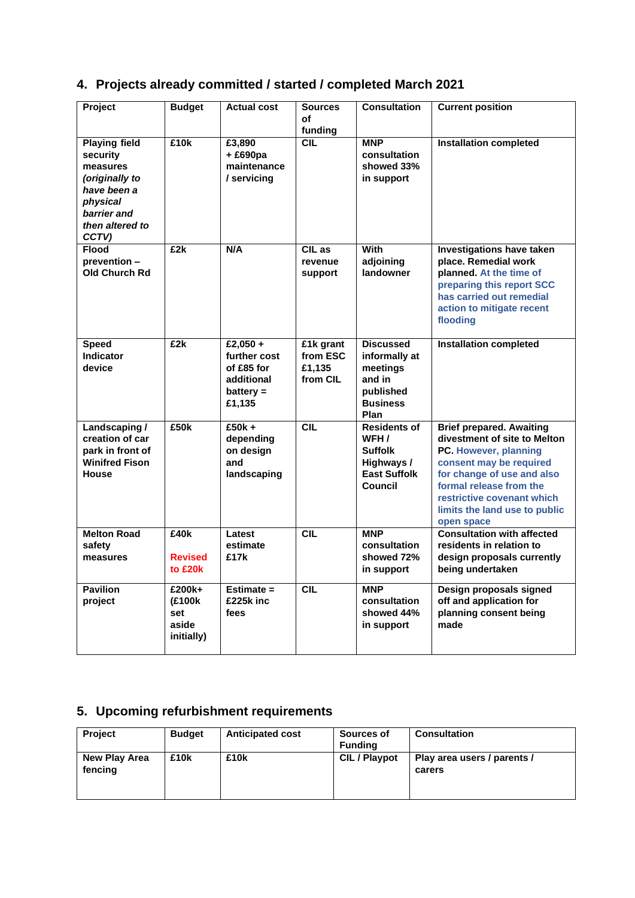| Project                                                                                                                              | <b>Budget</b>                                  | <b>Actual cost</b>                                                            | <b>Sources</b><br>οf<br>funding             | <b>Consultation</b>                                                                                   | <b>Current position</b>                                                                                                                                                                                                                                   |
|--------------------------------------------------------------------------------------------------------------------------------------|------------------------------------------------|-------------------------------------------------------------------------------|---------------------------------------------|-------------------------------------------------------------------------------------------------------|-----------------------------------------------------------------------------------------------------------------------------------------------------------------------------------------------------------------------------------------------------------|
| <b>Playing field</b><br>security<br>measures<br>(originally to<br>have been a<br>physical<br>barrier and<br>then altered to<br>CCTV) | £10k                                           | £3,890<br>$+£690pa$<br>maintenance<br>/ servicing                             | <b>CIL</b>                                  | <b>MNP</b><br>consultation<br>showed 33%<br>in support                                                | <b>Installation completed</b>                                                                                                                                                                                                                             |
| <b>Flood</b><br>prevention -<br>Old Church Rd                                                                                        | £2k                                            | N/A                                                                           | CIL as<br>revenue<br>support                | <b>With</b><br>adjoining<br>landowner                                                                 | Investigations have taken<br>place. Remedial work<br>planned. At the time of<br>preparing this report SCC<br>has carried out remedial<br>action to mitigate recent<br>flooding                                                                            |
| <b>Speed</b><br><b>Indicator</b><br>device                                                                                           | £2k                                            | £2,050 +<br>further cost<br>of £85 for<br>additional<br>$battery =$<br>£1,135 | £1k grant<br>from ESC<br>£1,135<br>from CIL | <b>Discussed</b><br>informally at<br>meetings<br>and in<br>published<br><b>Business</b><br>Plan       | <b>Installation completed</b>                                                                                                                                                                                                                             |
| Landscaping /<br>creation of car<br>park in front of<br><b>Winifred Fison</b><br><b>House</b>                                        | £50k                                           | $£50k +$<br>depending<br>on design<br>and<br>landscaping                      | CIL                                         | <b>Residents of</b><br>WFH /<br><b>Suffolk</b><br>Highways /<br><b>East Suffolk</b><br><b>Council</b> | <b>Brief prepared. Awaiting</b><br>divestment of site to Melton<br>PC. However, planning<br>consent may be required<br>for change of use and also<br>formal release from the<br>restrictive covenant which<br>limits the land use to public<br>open space |
| <b>Melton Road</b><br>safety<br>measures                                                                                             | £40k<br><b>Revised</b><br>to £20k              | Latest<br>estimate<br>£17k                                                    | <b>CIL</b>                                  | <b>MNP</b><br>consultation<br>showed 72%<br>in support                                                | <b>Consultation with affected</b><br>residents in relation to<br>design proposals currently<br>being undertaken                                                                                                                                           |
| <b>Pavilion</b><br>project                                                                                                           | £200k+<br>(£100k<br>set<br>aside<br>initially) | Estimate $=$<br>£225k inc<br>fees                                             | <b>CIL</b>                                  | <b>MNP</b><br>consultation<br>showed 44%<br>in support                                                | Design proposals signed<br>off and application for<br>planning consent being<br>made                                                                                                                                                                      |

# **4. Projects already committed / started / completed March 2021**

# **5. Upcoming refurbishment requirements**

| <b>Project</b>           | <b>Budget</b> | <b>Anticipated cost</b> | <b>Sources of</b><br><b>Funding</b> | <b>Consultation</b>                   |
|--------------------------|---------------|-------------------------|-------------------------------------|---------------------------------------|
| New Play Area<br>fencing | £10k          | £10k                    | <b>CIL</b> / Playpot                | Play area users / parents /<br>carers |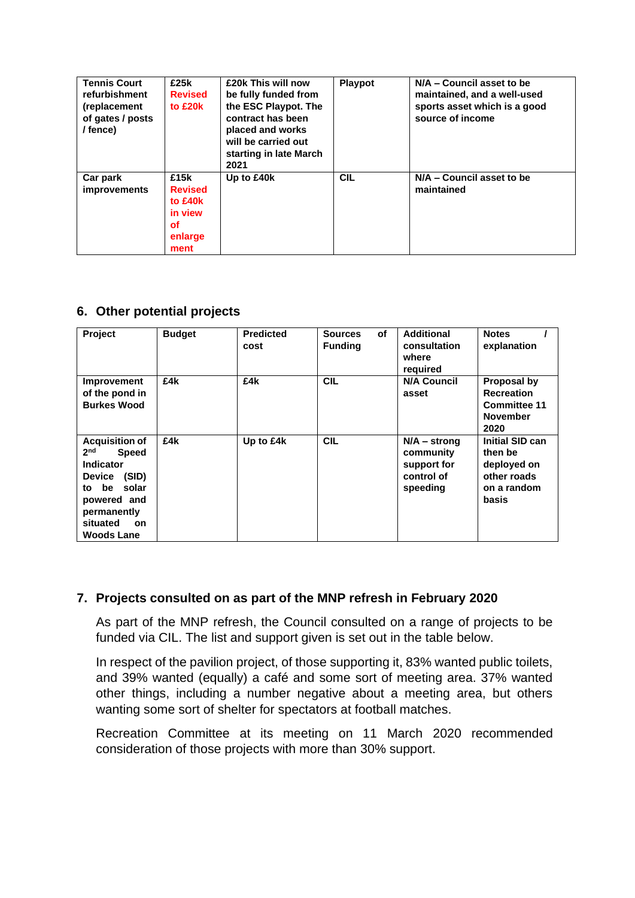| <b>Tennis Court</b><br>refurbishment<br>(replacement<br>of gates / posts<br>/ fence) | £25k<br><b>Revised</b><br>to £20k                                     | £20k This will now<br>be fully funded from<br>the ESC Playpot. The<br>contract has been<br>placed and works<br>will be carried out<br>starting in late March<br>2021 | <b>Playpot</b> | N/A - Council asset to be<br>maintained, and a well-used<br>sports asset which is a good<br>source of income |
|--------------------------------------------------------------------------------------|-----------------------------------------------------------------------|----------------------------------------------------------------------------------------------------------------------------------------------------------------------|----------------|--------------------------------------------------------------------------------------------------------------|
| Car park<br><i>improvements</i>                                                      | £15k<br><b>Revised</b><br>to £40k<br>in view<br>оf<br>enlarge<br>ment | Up to £40k                                                                                                                                                           | <b>CIL</b>     | N/A - Council asset to be<br>maintained                                                                      |

## **6. Other potential projects**

| Project                                                                                                                                                                                              | <b>Budget</b> | <b>Predicted</b><br>cost | <b>of</b><br><b>Sources</b><br><b>Funding</b> | <b>Additional</b><br>consultation<br>where<br>required               | <b>Notes</b><br>explanation                                                        |
|------------------------------------------------------------------------------------------------------------------------------------------------------------------------------------------------------|---------------|--------------------------|-----------------------------------------------|----------------------------------------------------------------------|------------------------------------------------------------------------------------|
| Improvement<br>of the pond in<br><b>Burkes Wood</b>                                                                                                                                                  | £4k           | £4k                      | <b>CIL</b>                                    | <b>N/A Council</b><br>asset                                          | Proposal by<br><b>Recreation</b><br><b>Committee 11</b><br><b>November</b><br>2020 |
| <b>Acquisition of</b><br>2 <sub>nd</sub><br><b>Speed</b><br><b>Indicator</b><br>(SID)<br><b>Device</b><br>solar<br>to be<br>powered and<br>permanently<br>situated<br><b>on</b><br><b>Woods Lane</b> | £4k           | Up to £4k                | <b>CIL</b>                                    | $N/A -$ strong<br>community<br>support for<br>control of<br>speeding | Initial SID can<br>then be<br>deployed on<br>other roads<br>on a random<br>basis   |

#### **7. Projects consulted on as part of the MNP refresh in February 2020**

As part of the MNP refresh, the Council consulted on a range of projects to be funded via CIL. The list and support given is set out in the table below.

In respect of the pavilion project, of those supporting it, 83% wanted public toilets, and 39% wanted (equally) a café and some sort of meeting area. 37% wanted other things, including a number negative about a meeting area, but others wanting some sort of shelter for spectators at football matches.

Recreation Committee at its meeting on 11 March 2020 recommended consideration of those projects with more than 30% support.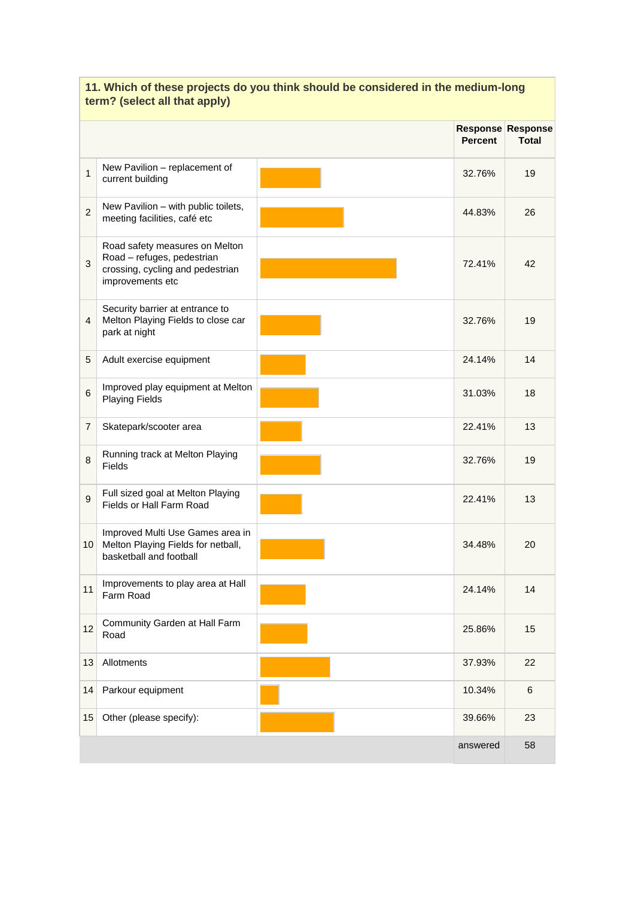|                 |                                                                                                                      | <b>Percent</b> | Response Response<br><b>Total</b> |
|-----------------|----------------------------------------------------------------------------------------------------------------------|----------------|-----------------------------------|
| $\mathbf{1}$    | New Pavilion - replacement of<br>current building                                                                    | 32.76%         | 19                                |
| $\overline{2}$  | New Pavilion - with public toilets,<br>meeting facilities, café etc                                                  | 44.83%         | 26                                |
| 3               | Road safety measures on Melton<br>Road - refuges, pedestrian<br>crossing, cycling and pedestrian<br>improvements etc | 72.41%         | 42                                |
| 4               | Security barrier at entrance to<br>Melton Playing Fields to close car<br>park at night                               | 32.76%         | 19                                |
| 5               | Adult exercise equipment                                                                                             | 24.14%         | 14                                |
| $6\phantom{1}6$ | Improved play equipment at Melton<br><b>Playing Fields</b>                                                           | 31.03%         | 18                                |
| $\overline{7}$  | Skatepark/scooter area                                                                                               | 22.41%         | 13                                |
| 8               | Running track at Melton Playing<br>Fields                                                                            | 32.76%         | 19                                |
| 9               | Full sized goal at Melton Playing<br>Fields or Hall Farm Road                                                        | 22.41%         | 13                                |
| 10 <sup>1</sup> | Improved Multi Use Games area in<br>Melton Playing Fields for netball,<br>basketball and football                    | 34.48%         | 20                                |
| 11              | Improvements to play area at Hall<br>Farm Road                                                                       | 24.14%         | 14                                |
| 12              | Community Garden at Hall Farm<br>Road                                                                                | 25.86%         | 15                                |
| 13              | Allotments                                                                                                           | 37.93%         | 22                                |
| 14              | Parkour equipment                                                                                                    | 10.34%         | 6                                 |
| 15              | Other (please specify):                                                                                              | 39.66%         | 23                                |
|                 |                                                                                                                      | answered       | 58                                |

## **11. Which of these projects do you think should be considered in the medium-long term? (select all that apply)**